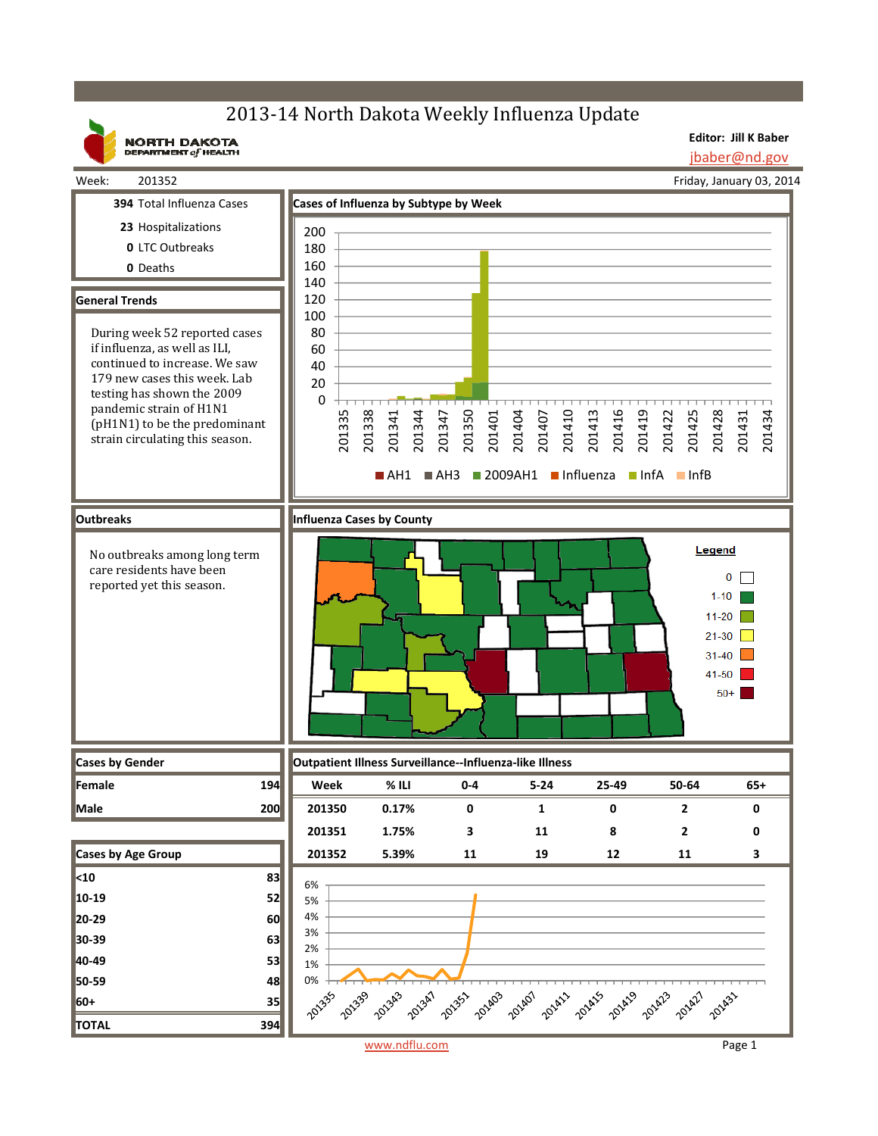# 2013-14 North Dakota Weekly Influenza Update

**NORTH DAKOTA**<br>DEPARTMENT of HEALTH

**Editor: Jill K Baber** jbaber@nd.gov

Friday, January 03, 2014